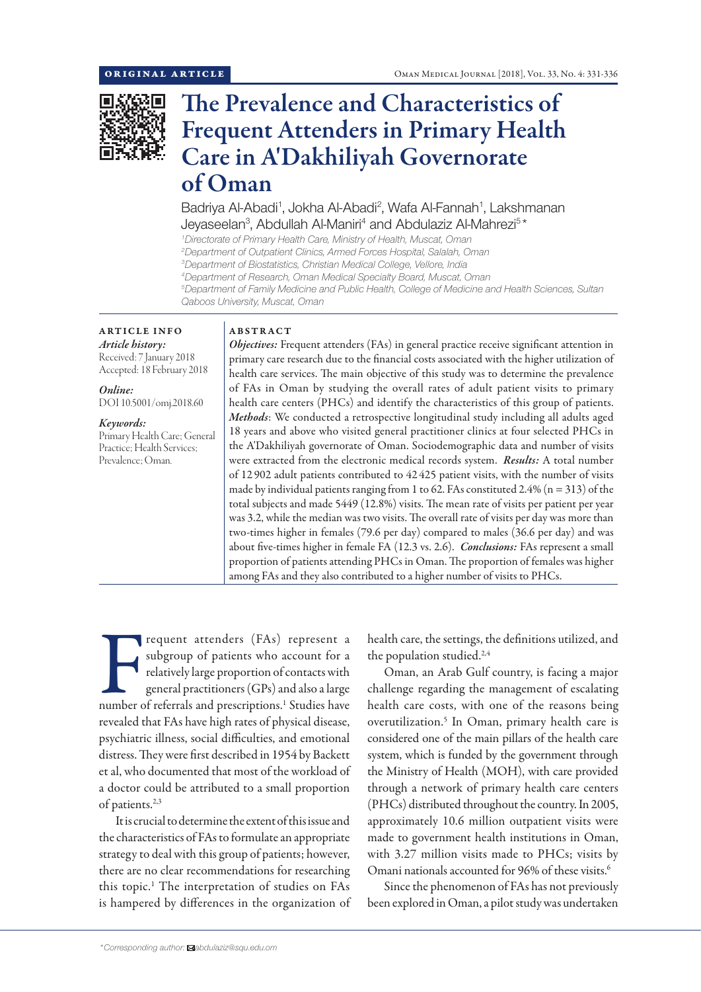

# The Prevalence and Characteristics of Frequent Attenders in Primary Health Care in A'Dakhiliyah Governorate of Oman

Badriya Al-Abadi<sup>1</sup>, Jokha Al-Abadi<sup>2</sup>, Wafa Al-Fannah<sup>1</sup>, Lakshmanan Jeyaseelan<sup>3</sup>, Abdullah Al-Maniri<sup>4</sup> and Abdulaziz Al-Mahrezi<sup>5\*</sup>

 *Directorate of Primary Health Care, Ministry of Health, Muscat, Oman Department of Outpatient Clinics, Armed Forces Hospital, Salalah, Oman Department of Biostatistics, Christian Medical College, Vellore, India Department of Research, Oman Medical Specialty Board, Muscat, Oman Department of Family Medicine and Public Health, College of Medicine and Health Sciences, Sultan Qaboos University, Muscat, Oman*

## ARTICLE INFO

*Article history:* Received: 7 January 2018 Accepted: 18 February 2018

*Online:* DOI 10.5001/omj.2018.60

*Keywords:*  Primary Health Care; General Practice; Health Services; Prevalence; Oman.

### ABSTRACT

*Objectives:* Frequent attenders (FAs) in general practice receive significant attention in primary care research due to the financial costs associated with the higher utilization of health care services. The main objective of this study was to determine the prevalence of FAs in Oman by studying the overall rates of adult patient visits to primary health care centers (PHCs) and identify the characteristics of this group of patients. *Methods*: We conducted a retrospective longitudinal study including all adults aged 18 years and above who visited general practitioner clinics at four selected PHCs in the A'Dakhiliyah governorate of Oman. Sociodemographic data and number of visits were extracted from the electronic medical records system. *Results:* A total number of 12 902 adult patients contributed to 42 425 patient visits, with the number of visits made by individual patients ranging from 1 to 62. FAs constituted 2.4% ( $n = 313$ ) of the total subjects and made 5449 (12.8%) visits. The mean rate of visits per patient per year was 3.2, while the median was two visits. The overall rate of visits per day was more than two-times higher in females (79.6 per day) compared to males (36.6 per day) and was about five-times higher in female FA (12.3 vs. 2.6). *Conclusions:* FAs represent a small proportion of patients attending PHCs in Oman. The proportion of females was higher among FAs and they also contributed to a higher number of visits to PHCs.

requent attenders (FAs) represent a<br>subgroup of patients who account for a<br>relatively large proportion of contacts with<br>general practitioners (GPs) and also a large<br>number of referrals and prescriptions.<sup>1</sup> Studies have requent attenders (FAs) represent a subgroup of patients who account for a relatively large proportion of contacts with general practitioners (GPs) and also a large revealed that FAs have high rates of physical disease, psychiatric illness, social difficulties, and emotional distress. They were first described in 1954 by Backett et al, who documented that most of the workload of a doctor could be attributed to a small proportion of patients.2,3

It is crucial to determine the extent of this issue and the characteristics of FAs to formulate an appropriate strategy to deal with this group of patients; however, there are no clear recommendations for researching this topic.1 The interpretation of studies on FAs is hampered by differences in the organization of health care, the settings, the definitions utilized, and the population studied.<sup>2,4</sup>

Oman, an Arab Gulf country, is facing a major challenge regarding the management of escalating health care costs, with one of the reasons being overutilization.5 In Oman, primary health care is considered one of the main pillars of the health care system, which is funded by the government through the Ministry of Health (MOH), with care provided through a network of primary health care centers (PHCs) distributed throughout the country. In 2005, approximately 10.6 million outpatient visits were made to government health institutions in Oman, with 3.27 million visits made to PHCs; visits by Omani nationals accounted for 96% of these visits.<sup>6</sup>

Since the phenomenon of FAs has not previously been explored in Oman, a pilot study was undertaken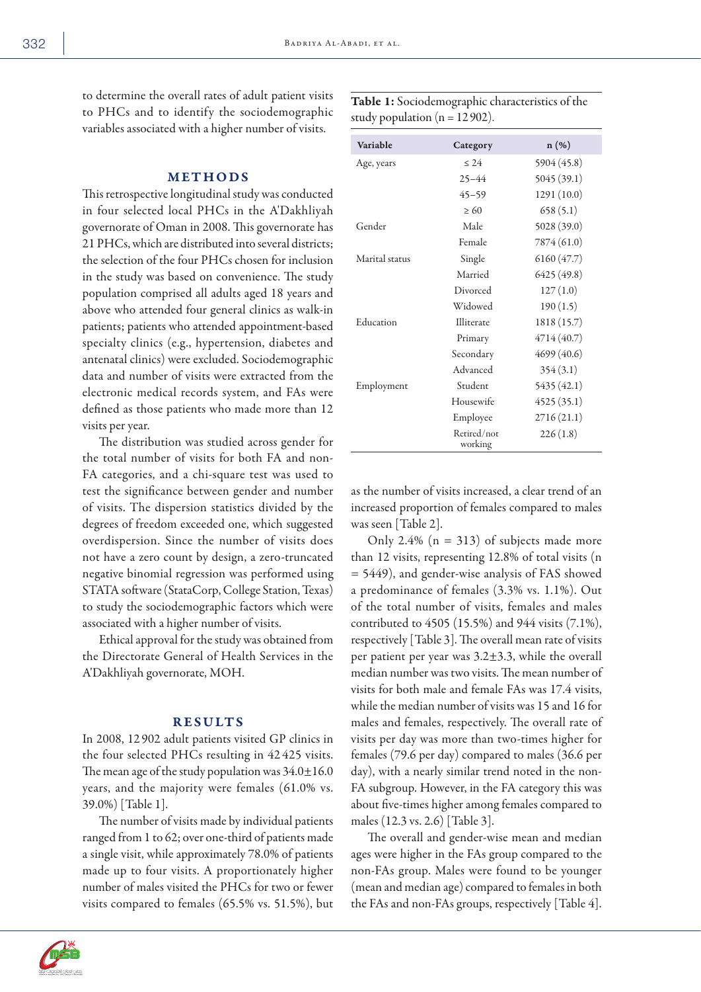to determine the overall rates of adult pat to PHCs and to identify the sociodemographic variables associated with a higher number of visits.

#### METHODS

This retrospective longitudinal study was conducted in four selected local PHCs in the A'Dakhliyah governorate of Oman in 2008. This governorate has 21 PHCs, which are distributed into several districts; the selection of the four PHCs chosen for inclusion in the study was based on convenience. The study population comprised all adults aged 18 years and above who attended four general clinics as walk-in patients; patients who attended appointment-based specialty clinics (e.g., hypertension, diabetes and antenatal clinics) were excluded. Sociodemographic data and number of visits were extracted from the electronic medical records system, and FAs were defined as those patients who made more than 12 visits per year.

The distribution was studied across gender for the total number of visits for both FA and non-FA categories, and a chi-square test was used to test the significance between gender and number of visits. The dispersion statistics divided by the degrees of freedom exceeded one, which suggested overdispersion. Since the number of visits does not have a zero count by design, a zero-truncated negative binomial regression was performed using STATA software (StataCorp, College Station, Texas) to study the sociodemographic factors which were associated with a higher number of visits.

Ethical approval for the study was obtained from the Directorate General of Health Services in the A'Dakhliyah governorate, MOH.

#### RESULTS

In 2008, 12 902 adult patients visited GP clinics in the four selected PHCs resulting in 42 425 visits. The mean age of the study population was  $34.0 \pm 16.0$ years, and the majority were females (61.0% vs. 39.0%) [Table 1].

The number of visits made by individual patients ranged from 1 to 62; over one-third of patients made a single visit, while approximately 78.0% of patients made up to four visits. A proportionately higher number of males visited the PHCs for two or fewer visits compared to females (65.5% vs. 51.5%), but

 $\geq 60$  658 (5.1) Gender Male 5028 (39.0) Female  $7874 (61.0)$ Marital status Single 6160 (47.7) Married 6425 (49.8) Divorced 127 (1.0) Widowed 190 (1.5) Education Illiterate 1818 (15.7) Primary 4714 (40.7) Secondary 4699 (40.6) Advanced 354 (3.1) Employment Student 5435 (42.1) Housewife 4525 (35.1) Employee 2716 (21.1) Retired/not working 226 (1.8)

Variable Category n (%) Age, years  $\leq 24$  5904 (45.8)

> 25–44 5045 (39.1) 45–59 1291 (10.0)

as the number of visits increased, a clear trend of an increased proportion of females compared to males was seen [Table 2].

Only 2.4% ( $n = 313$ ) of subjects made more than 12 visits, representing 12.8% of total visits (n = 5449), and gender-wise analysis of FAS showed a predominance of females (3.3% vs. 1.1%). Out of the total number of visits, females and males contributed to 4505 (15.5%) and 944 visits (7.1%), respectively [Table 3]. The overall mean rate of visits per patient per year was 3.2±3.3, while the overall median number was two visits. The mean number of visits for both male and female FAs was 17.4 visits, while the median number of visits was 15 and 16 for males and females, respectively. The overall rate of visits per day was more than two-times higher for females (79.6 per day) compared to males (36.6 per day), with a nearly similar trend noted in the non-FA subgroup. However, in the FA category this was about five-times higher among females compared to males (12.3 vs. 2.6) [Table 3].

The overall and gender-wise mean and median ages were higher in the FAs group compared to the non-FAs group. Males were found to be younger (mean and median age) compared to females in both the FAs and non-FAs groups, respectively [Table 4].



| ient visits | Table 1: Sociodemographic characteristics of the |
|-------------|--------------------------------------------------|
| ographic    |                                                  |
|             | study population ( $n = 12902$ ).                |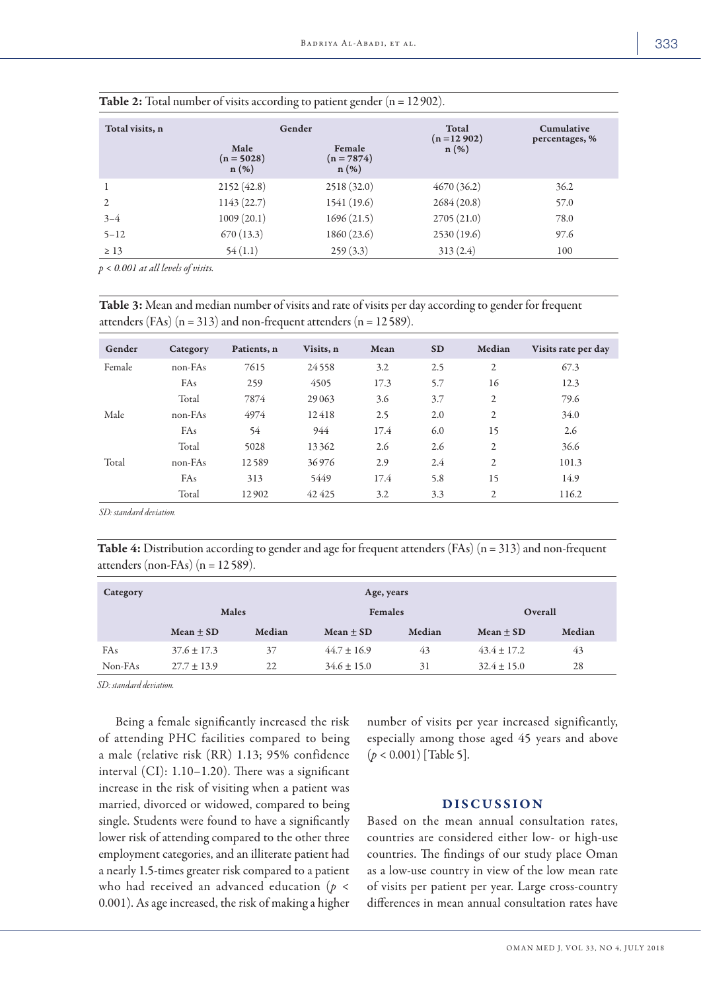| Total visits, n |                                 | Gender                            | Total<br>$(n = 12902)$ | Cumulative     |
|-----------------|---------------------------------|-----------------------------------|------------------------|----------------|
|                 | Male<br>$(n = 5028)$<br>$n(\%)$ | Female<br>$(n = 7874)$<br>$n(\%)$ | $n(\%)$                | percentages, % |
|                 | 2152(42.8)                      | 2518(32.0)                        | 4670(36.2)             | 36.2           |
| $\overline{2}$  | 1143(22.7)                      | 1541 (19.6)                       | 2684(20.8)             | 57.0           |
| $3 - 4$         | 1009(20.1)                      | 1696(21.5)                        | 2705(21.0)             | 78.0           |
| $5 - 12$        | 670(13.3)                       | 1860 (23.6)                       | 2530 (19.6)            | 97.6           |
| $\geq 13$       | 54(1.1)                         | 259(3.3)                          | 313(2.4)               | 100            |

| <b>Table 2:</b> Total number of visits according to patient gender $(n = 12902)$ . |  |  |
|------------------------------------------------------------------------------------|--|--|
|------------------------------------------------------------------------------------|--|--|

*p < 0.001 at all levels of visits.*

Table 3: Mean and median number of visits and rate of visits per day according to gender for frequent attenders (FAs)  $(n = 313)$  and non-frequent attenders  $(n = 12589)$ .

| Gender | Category  | Patients, n | Visits, n | Mean | <b>SD</b> | Median         | Visits rate per day |
|--------|-----------|-------------|-----------|------|-----------|----------------|---------------------|
| Female | $non-FAs$ | 7615        | 24558     | 3.2  | 2.5       | 2              | 67.3                |
|        | FAs       | 259         | 4505      | 17.3 | 5.7       | 16             | 12.3                |
|        | Total     | 7874        | 29063     | 3.6  | 3.7       | 2              | 79.6                |
| Male   | $non-FAs$ | 4974        | 12418     | 2.5  | 2.0       | $\mathfrak{2}$ | 34.0                |
|        | FAs       | 54          | 944       | 17.4 | 6.0       | 15             | 2.6                 |
|        | Total     | 5028        | 13362     | 2.6  | 2.6       | $\mathfrak{2}$ | 36.6                |
| Total  | $non-FAs$ | 12589       | 36976     | 2.9  | 2.4       | 2              | 101.3               |
|        | FAs       | 313         | 5449      | 17.4 | 5.8       | 15             | 14.9                |
|        | Total     | 12902       | 42425     | 3.2  | 3.3       | 2              | 116.2               |

*SD: standard deviation.*

Table 4: Distribution according to gender and age for frequent attenders (FAs) (n = 313) and non-frequent attenders (non-FAs) ( $n = 12589$ ).

| Category | Age, years      |              |                 |                |                 |         |  |
|----------|-----------------|--------------|-----------------|----------------|-----------------|---------|--|
|          |                 | <b>Males</b> |                 | <b>Females</b> |                 | Overall |  |
|          | Mean $\pm$ SD   | Median       | Mean $\pm$ SD   | Median         | Mean $\pm$ SD   | Median  |  |
| FAs      | $37.6 \pm 17.3$ | 37           | $44.7 \pm 16.9$ | 43             | $43.4 \pm 17.2$ | 43      |  |
| Non-FAs  | $27.7 \pm 13.9$ | 22           | $34.6 \pm 15.0$ | 31             | $32.4 \pm 15.0$ | 28      |  |

*SD: standard deviation.*

Being a female significantly increased the risk of attending PHC facilities compared to being a male (relative risk (RR) 1.13; 95% confidence interval (CI): 1.10–1.20). There was a significant increase in the risk of visiting when a patient was married, divorced or widowed, compared to being single. Students were found to have a significantly lower risk of attending compared to the other three employment categories, and an illiterate patient had a nearly 1.5-times greater risk compared to a patient who had received an advanced education (*p* < 0.001). As age increased, the risk of making a higher number of visits per year increased significantly, especially among those aged 45 years and above (*p* < 0.001) [Table 5].

#### DISCUSSION

Based on the mean annual consultation rates, countries are considered either low- or high-use countries. The findings of our study place Oman as a low-use country in view of the low mean rate of visits per patient per year. Large cross-country differences in mean annual consultation rates have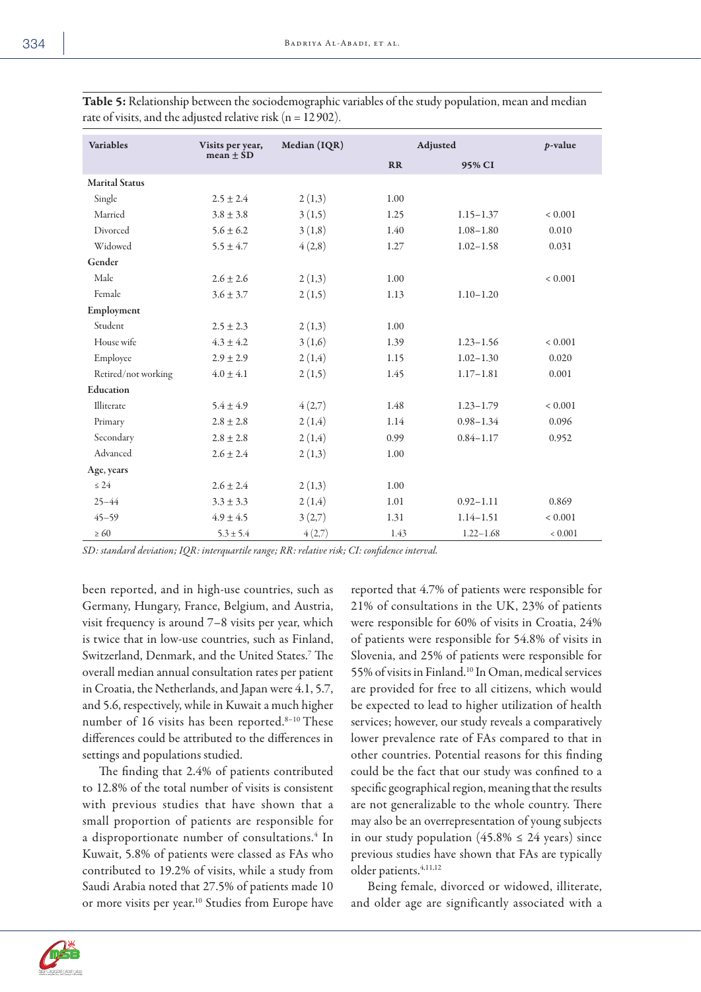| <b>Variables</b>      | Visits per year, | Median (IQR) | Adjusted | $p$ -value    |             |
|-----------------------|------------------|--------------|----------|---------------|-------------|
|                       | mean $\pm$ SD    |              | RR       | 95% CI        |             |
| <b>Marital Status</b> |                  |              |          |               |             |
| Single                | $2.5 \pm 2.4$    | 2(1,3)       | 1.00     |               |             |
| Married               | $3.8 \pm 3.8$    | 3(1,5)       | 1.25     | $1.15 - 1.37$ | ${}< 0.001$ |
| Divorced              | $5.6 + 6.2$      | 3(1,8)       | 1.40     | $1.08 - 1.80$ | 0.010       |
| Widowed               | $5.5 \pm 4.7$    | 4(2,8)       | 1.27     | $1.02 - 1.58$ | 0.031       |
| Gender                |                  |              |          |               |             |
| Male                  | $2.6 \pm 2.6$    | 2(1,3)       | 1.00     |               | ${}< 0.001$ |
| Female                | $3.6 \pm 3.7$    | 2(1,5)       | 1.13     | $1.10 - 1.20$ |             |
| Employment            |                  |              |          |               |             |
| Student               | $2.5 \pm 2.3$    | 2(1,3)       | 1.00     |               |             |
| House wife            | $4.3 \pm 4.2$    | 3(1,6)       | 1.39     | $1.23 - 1.56$ | ${}< 0.001$ |
| Employee              | $2.9 \pm 2.9$    | 2(1,4)       | 1.15     | $1.02 - 1.30$ | 0.020       |
| Retired/not working   | $4.0 \pm 4.1$    | 2(1,5)       | 1.45     | $1.17 - 1.81$ | 0.001       |
| Education             |                  |              |          |               |             |
| Illiterate            | $5.4 \pm 4.9$    | 4(2,7)       | 1.48     | $1.23 - 1.79$ | ${}< 0.001$ |
| Primary               | $2.8 \pm 2.8$    | 2(1,4)       | 1.14     | $0.98 - 1.34$ | 0.096       |
| Secondary             | $2.8 \pm 2.8$    | 2(1,4)       | 0.99     | $0.84 - 1.17$ | 0.952       |
| Advanced              | $2.6 \pm 2.4$    | 2(1,3)       | 1.00     |               |             |
| Age, years            |                  |              |          |               |             |
| $\leq 24$             | $2.6 \pm 2.4$    | 2(1,3)       | 1.00     |               |             |
| $25 - 44$             | $3.3 \pm 3.3$    | 2(1,4)       | 1.01     | $0.92 - 1.11$ | 0.869       |
| $45 - 59$             | $4.9 \pm 4.5$    | 3(2,7)       | 1.31     | $1.14 - 1.51$ | ${}< 0.001$ |
| $\geq 60$             | $5.3 \pm 5.4$    | 4(2,7)       | 1.43     | $1.22 - 1.68$ | 0.001       |

Table 5: Relationship between the sociodemographic variables of the study population, mean and median rate of visits, and the adjusted relative risk ( $n = 12902$ ).

*SD: standard deviation; IQR: interquartile range; RR: relative risk; CI: confidence interval.* 

been reported, and in high-use countries, such as Germany, Hungary, France, Belgium, and Austria, visit frequency is around 7–8 visits per year, which is twice that in low-use countries, such as Finland, Switzerland, Denmark, and the United States.7 The overall median annual consultation rates per patient in Croatia, the Netherlands, and Japan were 4.1, 5.7, and 5.6, respectively, while in Kuwait a much higher number of 16 visits has been reported.<sup>8-10</sup> These differences could be attributed to the differences in settings and populations studied.

The finding that 2.4% of patients contributed to 12.8% of the total number of visits is consistent with previous studies that have shown that a small proportion of patients are responsible for a disproportionate number of consultations.<sup>4</sup> In Kuwait, 5.8% of patients were classed as FAs who contributed to 19.2% of visits, while a study from Saudi Arabia noted that 27.5% of patients made 10 or more visits per year.<sup>10</sup> Studies from Europe have

reported that 4.7% of patients were responsible for 21% of consultations in the UK, 23% of patients were responsible for 60% of visits in Croatia, 24% of patients were responsible for 54.8% of visits in Slovenia, and 25% of patients were responsible for 55% of visits in Finland.10 In Oman, medical services are provided for free to all citizens, which would be expected to lead to higher utilization of health services; however, our study reveals a comparatively lower prevalence rate of FAs compared to that in other countries. Potential reasons for this finding could be the fact that our study was confined to a specific geographical region, meaning that the results are not generalizable to the whole country. There may also be an overrepresentation of young subjects in our study population  $(45.8\% \le 24 \text{ years})$  since previous studies have shown that FAs are typically older patients.<sup>4,11,12</sup>

Being female, divorced or widowed, illiterate, and older age are significantly associated with a

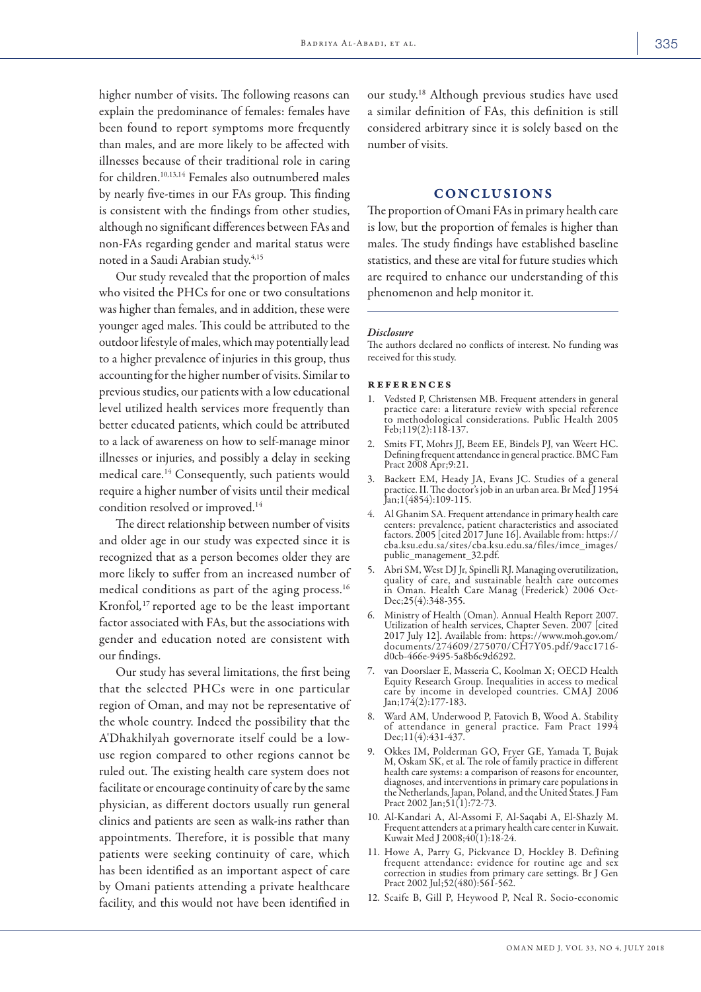higher number of visits. The following reasons can explain the predominance of females: females have been found to report symptoms more frequently than males, and are more likely to be affected with illnesses because of their traditional role in caring for children.10,13,14 Females also outnumbered males by nearly five-times in our FAs group. This finding is consistent with the findings from other studies, although no significant differences between FAs and non-FAs regarding gender and marital status were noted in a Saudi Arabian study.<sup>4,15</sup>

Our study revealed that the proportion of males who visited the PHCs for one or two consultations was higher than females, and in addition, these were younger aged males. This could be attributed to the outdoor lifestyle of males, which may potentially lead to a higher prevalence of injuries in this group, thus accounting for the higher number of visits. Similar to previous studies, our patients with a low educational level utilized health services more frequently than better educated patients, which could be attributed to a lack of awareness on how to self-manage minor illnesses or injuries, and possibly a delay in seeking medical care.<sup>14</sup> Consequently, such patients would require a higher number of visits until their medical condition resolved or improved.14

The direct relationship between number of visits and older age in our study was expected since it is recognized that as a person becomes older they are more likely to suffer from an increased number of medical conditions as part of the aging process.<sup>16</sup> Kronfol*,* 17 reported age to be the least important factor associated with FAs, but the associations with gender and education noted are consistent with our findings.

Our study has several limitations, the first being that the selected PHCs were in one particular region of Oman, and may not be representative of the whole country. Indeed the possibility that the A'Dhakhilyah governorate itself could be a lowuse region compared to other regions cannot be ruled out. The existing health care system does not facilitate or encourage continuity of care by the same physician, as different doctors usually run general clinics and patients are seen as walk-ins rather than appointments. Therefore, it is possible that many patients were seeking continuity of care, which has been identified as an important aspect of care by Omani patients attending a private healthcare facility, and this would not have been identified in

our study.18 Although previous studies have used a similar definition of FAs, this definition is still considered arbitrary since it is solely based on the number of visits.

#### CONCLUSIONS

The proportion of Omani FAs in primary health care is low, but the proportion of females is higher than males. The study findings have established baseline statistics, and these are vital for future studies which are required to enhance our understanding of this phenomenon and help monitor it.

#### *Disclosure*

The authors declared no conflicts of interest. No funding was received for this study.

#### references

- 1. Vedsted P, Christensen MB. Frequent attenders in general practice care: a literature review with special reference to methodological considerations. Public Health 2005 Feb;119(2):118-137.
- 2. Smits FT, Mohrs JJ, Beem EE, Bindels PJ, van Weert HC. Defining frequent attendance in general practice. BMC Fam Pract 2008 Apr;9:21.
- 3. Backett EM, Heady JA, Evans JC. Studies of a general practice. II. The doctor's job in an urban area. Br Med J 1954 Jan;1(4854):109-115.
- 4. Al Ghanim SA. Frequent attendance in primary health care centers: prevalence, patient characteristics and associated factors. 2005 [cited 2017 June 16]. Available from: https:// cba.ksu.edu.sa/sites/cba.ksu.edu.sa/files/imce\_images/ public\_management\_32.pdf.
- 5. Abri SM, West DJ Jr, Spinelli RJ. Managing overutilization, quality of care, and sustainable health care outcomes in Oman. Health Care Manag (Frederick) 2006 Oct-Dec;25(4):348-355.
- 6. Ministry of Health (Oman). Annual Health Report 2007. Utilization of health services, Chapter Seven. 2007 [cited 2017 July 12]. Available from: https://www.moh.gov.om/ documents/274609/275070/CH7Y05.pdf/9acc1716- d0cb-466e-9495-5a8b6c9d6292.
- van Doorslaer E, Masseria C, Koolman X; OECD Health Equity Research Group. Inequalities in access to medical care by income in developed countries. CMAJ 2006 Jan;174(2):177-183.
- 8. Ward AM, Underwood P, Fatovich B, Wood A. Stability of attendance in general practice. Fam Pract 1994 Dec;11(4):431-437.
- 9. Okkes IM, Polderman GO, Fryer GE, Yamada T, Bujak M, Oskam SK, et al. The role of family practice in different health care systems: a comparison of reasons for encounter, diagnoses, and interventions in primary care populations in the Netherlands, Japan, Poland, and the United States. J Fam Pract 2002 Jan; 51(1): 72-73.
- 10. Al-Kandari A, Al-Assomi F, Al-Saqabi A, El-Shazly M. Frequent attenders at a primary health care center in Kuwait. Kuwait Med J 2008;40(1):18-24.
- 11. Howe A, Parry G, Pickvance D, Hockley B. Defining frequent attendance: evidence for routine age and sex correction in studies from primary care settings. Br J Gen Pract 2002 Jul;52(480):561-562.
- 12. Scaife B, Gill P, Heywood P, Neal R. Socio-economic